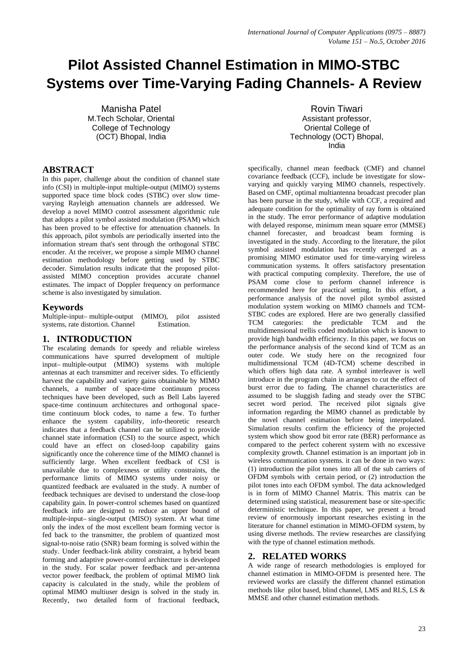# **Pilot Assisted Channel Estimation in MIMO-STBC Systems over Time-Varying Fading Channels- A Review**

Manisha Patel M.Tech Scholar, Oriental College of Technology (OCT) Bhopal, India

Rovin Tiwari Assistant professor, Oriental College of Technology (OCT) Bhopal, India

## **ABSTRACT**

In this paper, challenge about the condition of channel state info (CSI) in multiple-input multiple-output (MIMO) systems supported space time block codes (STBC) over slow timevarying Rayleigh attenuation channels are addressed. We develop a novel MIMO control assessment algorithmic rule that adopts a pilot symbol assisted modulation (PSAM) which has been proved to be effective for attenuation channels. In this approach, pilot symbols are periodically inserted into the information stream that's sent through the orthogonal STBC encoder. At the receiver, we propose a simple MIMO channel estimation methodology before getting used by STBC decoder. Simulation results indicate that the proposed pilotassisted MIMO conception provides accurate channel estimates. The impact of Doppler frequency on performance scheme is also investigated by simulation.

## **Keywords**

Multiple-input– multiple-output (MIMO), pilot assisted systems, rate distortion. Channel

## **1. INTRODUCTION**

The escalating demands for speedy and reliable wireless communications have spurred development of multiple input– multiple-output (MIMO) systems with multiple antennas at each transmitter and receiver sides. To efficiently harvest the capability and variety gains obtainable by MIMO channels, a number of space-time continuum process techniques have been developed, such as Bell Labs layered space-time continuum architectures and orthogonal spacetime continuum block codes, to name a few. To further enhance the system capability, info-theoretic research indicates that a feedback channel can be utilized to provide channel state information (CSI) to the source aspect, which could have an effect on closed-loop capability gains significantly once the coherence time of the MIMO channel is sufficiently large. When excellent feedback of CSI is unavailable due to complexness or utility constraints, the performance limits of MIMO systems under noisy or quantized feedback are evaluated in the study. A number of feedback techniques are devised to understand the close-loop capability gain. In power-control schemes based on quantized feedback info are designed to reduce an upper bound of multiple-input– single-output (MISO) system. At what time only the index of the most excellent beam forming vector is fed back to the transmitter, the problem of quantized most signal-to-noise ratio (SNR) beam forming is solved within the study. Under feedback-link ability constraint, a hybrid beam forming and adaptive power-control architecture is developed in the study. For scalar power feedback and per-antenna vector power feedback, the problem of optimal MIMO link capacity is calculated in the study, while the problem of optimal MIMO multiuser design is solved in the study in. Recently, two detailed form of fractional feedback, specifically, channel mean feedback (CMF) and channel covariance feedback (CCF), include be investigate for slowvarying and quickly varying MIMO channels, respectively. Based on CMF, optimal multiantenna broadcast precoder plan has been pursue in the study, while with CCF, a required and adequate condition for the optimality of ray form is obtained in the study. The error performance of adaptive modulation with delayed response, minimum mean square error (MMSE) channel forecaster, and broadcast beam forming is investigated in the study. According to the literature, the pilot symbol assisted modulation has recently emerged as a promising MIMO estimator used for time-varying wireless communication systems. It offers satisfactory presentation with practical computing complexity. Therefore, the use of PSAM come close to perform channel inference is recommended here for practical setting. In this effort, a performance analysis of the novel pilot symbol assisted modulation system working on MIMO channels and TCM-STBC codes are explored. Here are two generally classified TCM categories: the predictable TCM and the multidimensional trellis coded modulation which is known to provide high bandwidth efficiency. In this paper, we focus on the performance analysis of the second kind of TCM as an outer code. We study here on the recognized four multidimensional TCM (4D-TCM) scheme described in which offers high data rate. A symbol interleaver is well introduce in the program chain in arranges to cut the effect of burst error due to fading. The channel characteristics are assumed to be sluggish fading and steady over the STBC secret word period. The received pilot signals give information regarding the MIMO channel as predictable by the novel channel estimation before being interpolated. Simulation results confirm the efficiency of the projected system which show good bit error rate (BER) performance as compared to the perfect coherent system with no excessive complexity growth. Channel estimation is an important job in wireless communication systems. it can be done in two ways: (1) introduction the pilot tones into all of the sub carriers of OFDM symbols with certain period, or (2) introduction the pilot tones into each OFDM symbol. The data acknowledged is in form of MIMO Channel Matrix. This matrix can be determined using statistical, measurement base or site-specific deterministic technique. In this paper, we present a broad review of enormously important researches existing in the literature for channel estimation in MIMO-OFDM system, by using diverse methods. The review researches are classifying with the type of channel estimation methods.

# **2. RELATED WORKS**

A wide range of research methodologies is employed for channel estimation in MIMO-OFDM is presented here. The reviewed works are classify the different channel estimation methods like pilot based, blind channel, LMS and RLS, LS & MMSE and other channel estimation methods.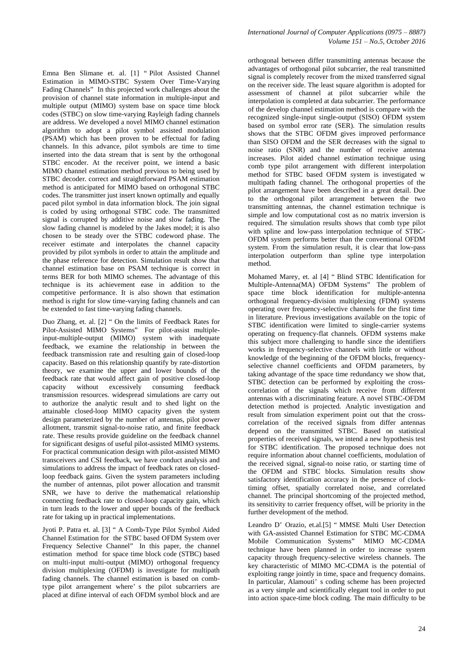Emna Ben Slimane et. al. [1] " Pilot Assisted Channel Estimation in MIMO-STBC System Over Time-Varying Fading Channels" In this projected work challenges about the provision of channel state information in multiple-input and multiple output (MIMO) system base on space time block codes (STBC) on slow time-varying Rayleigh fading channels are address. We developed a novel MIMO channel estimation algorithm to adopt a pilot symbol assisted modulation (PSAM) which has been proven to be effectual for fading channels. In this advance, pilot symbols are time to time inserted into the data stream that is sent by the orthogonal STBC encoder. At the receiver point, we intend a basic MIMO channel estimation method previous to being used by STBC decoder. correct and straightforward PSAM estimation method is anticipated for MIMO based on orthogonal STBC codes. The transmitter just insert known optimally and equally paced pilot symbol in data information block. The join signal is coded by using orthogonal STBC code. The transmitted signal is corrupted by additive noise and slow fading. The slow fading channel is modeled by the Jakes model; it is also chosen to be steady over the STBC codeword phase. The receiver estimate and interpolates the channel capacity provided by pilot symbols in order to attain the amplitude and the phase reference for detection. Simulation result show that channel estimation base on PSAM technique is correct in terms BER for both MIMO schemes. The advantage of this technique is its achievement ease in addition to the competitive performance. It is also shown that estimation method is right for slow time-varying fading channels and can be extended to fast time-varying fading channels.

Duo Zhang, et. al. [2] " On the limits of Feedback Rates for Pilot-Assisted MIMO Systems" For pilot-assist multipleinput-multiple-output (MIMO) system with inadequate feedback, we examine the relationship in between the feedback transmission rate and resulting gain of closed-loop capacity. Based on this relationship quantify by rate-distortion theory, we examine the upper and lower bounds of the feedback rate that would affect gain of positive closed-loop capacity without excessively consuming feedback transmission resources. widespread simulations are carry out to authorize the analytic result and to shed light on the attainable closed-loop MIMO capacity given the system design parameterized by the number of antennas, pilot power allotment, transmit signal-to-noise ratio, and finite feedback rate. These results provide guideline on the feedback channel for significant designs of useful pilot-assisted MIMO systems. For practical communication design with pilot-assisted MIMO transceivers and CSI feedback, we have conduct analysis and simulations to address the impact of feedback rates on closedloop feedback gains. Given the system parameters including the number of antennas, pilot power allocation and transmit SNR, we have to derive the mathematical relationship connecting feedback rate to closed-loop capacity gain, which in turn leads to the lower and upper bounds of the feedback rate for taking up in practical implementations.

Jyoti P. Patra et. al. [3] " A Comb-Type Pilot Symbol Aided Channel Estimation for the STBC based OFDM System over Frequency Selective Channel" In this paper, the channel estimation method for space time block code (STBC) based on multi-input multi-output (MIMO) orthogonal frequency division multiplexing (OFDM) is investigate for multipath fading channels. The channel estimation is based on combtype pilot arrangement where' s the pilot subcarriers are placed at difine interval of each OFDM symbol block and are

orthogonal between differ transmitting antennas because the advantages of orthogonal pilot subcarrier, the real transmitted signal is completely recover from the mixed transferred signal on the receiver side. The least square algorithm is adopted for assessment of channel at pilot subcarrier while the interpolation is completed at data subcarrier. The performance of the develop channel estimation method is compare with the recognized single-input single-output (SISO) OFDM system based on symbol error rate (SER). The simulation results shows that the STBC OFDM gives improved performance than SISO OFDM and the SER decreases with the signal to noise ratio (SNR) and the number of receive antenna increases. Pilot aided channel estimation technique using comb type pilot arrangement with different interpolation method for STBC based OFDM system is investigated w multipath fading channel. The orthogonal properties of the pilot arrangement have been described in a great detail. Due to the orthogonal pilot arrangement between the two transmitting antennas, the channel estimation technique is simple and low computational cost as no matrix inversion is required. The simulation results shows that comb type pilot with spline and low-pass interpolation technique of STBC-OFDM system performs better than the conventional OFDM system. From the simulation result, it is clear that low-pass interpolation outperform than spline type interpolation method.

Mohamed Marey, et. al [4] " Blind STBC Identification for Multiple-Antenna(MA) OFDM Systems" The problem of space time block identification for multiple-antenna orthogonal frequency-division multiplexing (FDM) systems operating over frequency-selective channels for the first time in literature. Previous investigations available on the topic of STBC identification were limited to single-carrier systems operating on frequency-flat channels. OFDM systems make this subject more challenging to handle since the identifiers works in frequency-selective channels with little or without knowledge of the beginning of the OFDM blocks, frequencyselective channel coefficients and OFDM parameters, by taking advantage of the space time redundancy we show that, STBC detection can be performed by exploiting the crosscorrelation of the signals which receive from different antennas with a discriminating feature. A novel STBC-OFDM detection method is projected. Analytic investigation and result from simulation experiment point out that the crosscorrelation of the received signals from differ antennas depend on the transmitted STBC. Based on statistical properties of received signals, we intend a new hypothesis test for STBC identification. The proposed technique does not require information about channel coefficients, modulation of the received signal, signal-to noise ratio, or starting time of the OFDM and STBC blocks. Simulation results show satisfactory identification accuracy in the presence of clocktiming offset, spatially correlated noise, and correlated channel. The principal shortcoming of the projected method, its sensitivity to carrier frequency offset, will be priority in the further development of the method.

Leandro D' Orazio, et.al.[5] " MMSE Multi User Detection with GA-assisted Channel Estimation for STBC MC-CDMA Mobile Communication Systems" MIMO MC-CDMA technique have been planned in order to increase system capacity through frequency-selective wireless channels. The key characteristic of MIMO MC-CDMA is the potential of exploiting range jointly in time, space and frequency domains. In particular, Alamouti' s coding scheme has been projected as a very simple and scientifically elegant tool in order to put into action space-time block coding. The main difficulty to be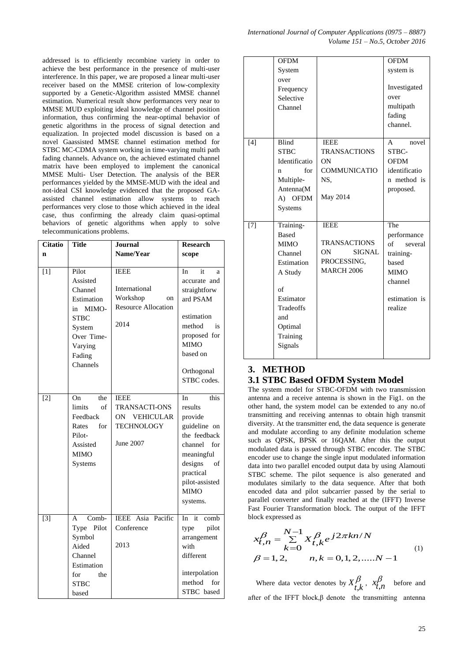addressed is to efficiently recombine variety in order to achieve the best performance in the presence of multi-user interference. In this paper, we are proposed a linear multi-user receiver based on the MMSE criterion of low-complexity supported by a Genetic-Algorithm assisted MMSE channel estimation. Numerical result show performances very near to MMSE MUD exploiting ideal knowledge of channel position information, thus confirming the near-optimal behavior of genetic algorithms in the process of signal detection and equalization. In projected model discussion is based on a novel Gaassisted MMSE channel estimation method for STBC MC-CDMA system working in time-varying multi path fading channels. Advance on, the achieved estimated channel matrix have been employed to implement the canonical MMSE Multi- User Detection. The analysis of the BER performances yielded by the MMSE-MUD with the ideal and not-ideal CSI knowledge evidenced that the proposed GAassisted channel estimation allow systems to reach performances very close to those which achieved in the ideal case, thus confirming the already claim quasi-optimal behaviors of genetic algorithms when apply to solve telecommunications problems.

| <b>Citatio</b> | <b>Title</b>                                                                                                                      | <b>Journal</b>                                                                        | <b>Research</b>                                                                                                                                                              |
|----------------|-----------------------------------------------------------------------------------------------------------------------------------|---------------------------------------------------------------------------------------|------------------------------------------------------------------------------------------------------------------------------------------------------------------------------|
| $\mathbf n$    |                                                                                                                                   | Name/Year                                                                             | scope                                                                                                                                                                        |
|                |                                                                                                                                   |                                                                                       |                                                                                                                                                                              |
| $[1]$          | Pilot<br>Assisted<br>Channel<br>Estimation<br>MIMO-<br>in<br><b>STBC</b><br>System<br>Over Time-<br>Varying<br>Fading<br>Channels | <b>IEEE</b><br>International<br>Workshop<br>on<br><b>Resource Allocation</b><br>2014  | In<br>it<br>a<br>accurate and<br>straightforw<br>ard PSAM<br>estimation<br>method<br>is<br>proposed for<br><b>MIMO</b><br>based on<br>Orthogonal<br>STBC codes.              |
| $[2]$          | the<br>On.<br>limits<br>of<br>Feedback<br>for<br>Rates<br>Pilot-<br>Assisted<br><b>MIMO</b><br>Systems                            | <b>IEEE</b><br><b>TRANSACTI-ONS</b><br>ON VEHICULAR<br><b>TECHNOLOGY</b><br>June 2007 | this<br>In.<br>results<br>provide<br>guideline on<br>the feedback<br>channel<br>for<br>meaningful<br>designs<br>of<br>practical<br>pilot-assisted<br><b>MIMO</b><br>systems. |
| $[3]$          | Comb-<br>A<br>Pilot<br>Type<br>Symbol<br>Aided<br>Channel<br>Estimation<br>for<br>the<br><b>STBC</b><br>based                     | <b>IEEE</b> Asia Pacific<br>Conference<br>2013                                        | it<br>comb<br>In<br>pilot<br>type<br>arrangement<br>with<br>different<br>interpolation<br>method<br>for<br>STBC based                                                        |

|       | <b>OFDM</b><br>System<br>over<br>Frequency<br>Selective<br>Channel                                                                                            |                                                                                               | <b>OFDM</b><br>system is<br>Investigated<br>over<br>multipath<br>fading<br>channel.                             |
|-------|---------------------------------------------------------------------------------------------------------------------------------------------------------------|-----------------------------------------------------------------------------------------------|-----------------------------------------------------------------------------------------------------------------|
| [4]   | <b>Blind</b><br><b>STBC</b><br>Identificatio<br>for<br>n<br>Multiple-<br>Antenna(M<br>A) OFDM<br>Systems                                                      | <b>IEEE</b><br><b>TRANSACTIONS</b><br><b>ON</b><br><b>COMMUNICATIO</b><br>NS.<br>May 2014     | $\mathsf{A}$<br>novel<br>STBC-<br><b>OFDM</b><br>identificatio<br>n method is<br>proposed.                      |
| $[7]$ | Training-<br><b>Based</b><br><b>MIMO</b><br>Channel<br>Estimation<br>A Study<br>$\sigma$ f<br>Estimator<br>Tradeoffs<br>and<br>Optimal<br>Training<br>Signals | <b>IEEE</b><br><b>TRANSACTIONS</b><br>ON<br><b>SIGNAL</b><br>PROCESSING,<br><b>MARCH 2006</b> | The<br>performance<br>of<br>several<br>training-<br>based<br><b>MIMO</b><br>channel<br>estimation is<br>realize |

# **3. METHOD 3.1 STBC Based OFDM System Model**

The system model for STBC-OFDM with two transmission antenna and a receive antenna is shown in the Fig1. on the other hand, the system model can be extended to any no.of transmitting and receiving antennas to obtain high transmit diversity. At the transmitter end, the data sequence is generate and modulate according to any definite modulation scheme such as QPSK, BPSK or 16QAM. After this the output modulated data is passed through STBC encoder. The STBC encoder use to change the single input modulated information data into two parallel encoded output data by using Alamouti STBC scheme. The pilot sequence is also generated and modulates similarly to the data sequence. After that both encoded data and pilot subcarrier passed by the serial to parallel converter and finally reached at the (IFFT) Inverse Fast Fourier Transformation block. The output of the IFFT block expressed as

$$
x_{t,n}^{\beta} = \sum_{k=0}^{N-1} x_{t,k}^{\beta} e^{j2\pi kn/N}
$$
  
\n
$$
\beta = 1, 2, \qquad n, k = 0, 1, 2, \dots N - 1
$$
 (1)

Where data vector denotes by  $X_{t,k}^{\beta}$ ,  $x_{t,n}^{\beta}$  before and after of the IFFT block,β denote the transmitting antenna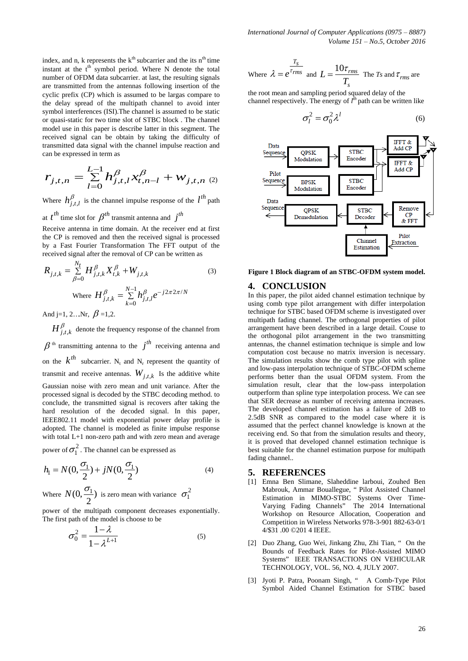*International Journal of Computer Applications (0975 – 8887) Volume 151 – No.5, October 2016*

index, and n, k represents the  $k<sup>th</sup>$  subcarrier and the its n<sup>th</sup> time instant at the  $t<sup>th</sup>$  symbol period. Where N denote the total number of OFDM data subcarrier. at last, the resulting signals are transmitted from the antennas following insertion of the cyclic prefix (CP) which is assumed to be largas compare to the delay spread of the multipath channel to avoid inter symbol interferences (ISI).The channel is assumed to be static or quasi-static for two time slot of STBC block . The channel model use in this paper is describe latter in this segment. The received signal can be obtain by taking the difficulty of transmitted data signal with the channel impulse reaction and can be expressed in term as

$$
r_{j,t,n} = \sum_{l=0}^{L-1} h_{j,t,l}^{\beta} x_{t,n-l}^{\beta} + w_{j,t,n} (2)
$$

Where  $h_{j,t,l}^{\beta}$  is the channel impulse response of the  $l^{th}$  path

at 
$$
t^{th}
$$
 time slot for  $\beta^{th}$  transmit antenna and  $j^{th}$ 

Receive antenna in time domain. At the receiver end at first the CP is removed and then the received signal is processed by a Fast Fourier Transformation The FFT output of the received signal after the removal of CP can be written as

$$
R_{j,t,k} = \sum_{\beta=0}^{N_t} H_{j,t,k}^{\beta} X_{t,k}^{\beta} + W_{j,t,k}
$$
 (3)  
where 
$$
H_{j,t,k}^{\beta} = \sum_{k=0}^{N-1} h_{j,t,l}^{\beta} e^{-j2\pi 2\pi/N}
$$

And j=1, 2...Nr,  $\beta$  =1,2.

 $H_{j,t,k}^{\beta}$  denote the frequency response of the channel from  $\beta$ <sup>th</sup> transmitting antenna to the  $j$ <sup>th</sup> receiving antenna and on the  $k^{th}$  subcarrier. N<sub>t</sub> and N<sub>r</sub> represent the quantity of transmit and receive antennas.  $W_{j,t,k}$  Is the additive white Gaussian noise with zero mean and unit variance. After the processed signal is decoded by the STBC decoding method. to conclude, the transmitted signal is recovers after taking the hard resolution of the decoded signal. In this paper, IEEE802.11 model with exponential power delay profile is adopted. The channel is modeled as finite impulse response with total L+1 non-zero path and with zero mean and average

power of 
$$
\sigma_1^2
$$
. The channel can be expressed as  
\n
$$
h_1 = N(0, \frac{\sigma_1}{2}) + jN(0, \frac{\sigma_1}{2})
$$
\n(4)

Where  $N(0, \frac{O_1}{2})$ 2  $N(0, \frac{\sigma_1}{2})$  is zero mean with variance  $\sigma_1^2$ 

power of the multipath component decreases exponentially. The first path of the model is choose to be

$$
\sigma_0^2 = \frac{1 - \lambda}{1 - \lambda^{L+1}}\tag{5}
$$

Where 
$$
\lambda = e^{\frac{T_s}{\tau_{rms}}}
$$
 and  $L = \frac{10\tau_{rms}}{T_s}$  The *Ts* and  $\tau_{rms}$  are

the root mean and sampling period squared delay of the channel respectively. The energy of  $l^{th}$  path can be written like

$$
\sigma_l^2 = \sigma_0^2 \lambda^l \tag{6}
$$



**Figure 1 Block diagram of an STBC-OFDM system model.**

#### **4. CONCLUSION**

In this paper, the pilot aided channel estimation technique by using comb type pilot arrangement with differ interpolation technique for STBC based OFDM scheme is investigated over multipath fading channel. The orthogonal properties of pilot arrangement have been described in a large detail. Couse to the orthogonal pilot arrangement in the two transmitting antennas, the channel estimation technique is simple and low computation cost because no matrix inversion is necessary. The simulation results show the comb type pilot with spline and low-pass interpolation technique of STBC-OFDM scheme performs better than the usual OFDM system. From the simulation result, clear that the low-pass interpolation outperform than spline type interpolation process. We can see that SER decrease as number of receiving antenna increases. The developed channel estimation has a failure of 2dB to 2.5dB SNR as compared to the model case where it is assumed that the perfect channel knowledge is known at the receiving end. So that from the simulation results and theory, it is proved that developed channel estimation technique is best suitable for the channel estimation purpose for multipath fading channel..

#### **5. REFERENCES**

- [1] Emna Ben Slimane, Slaheddine larboui, Zouhed Ben Mabrouk, Ammar Bouallegue, " Pilot Assisted Channel Estimation in MIMO-STBC Systems Over Time-Varying Fading Channels" The 2014 International Workshop on Resource Allocation, Cooperation and Competition in Wireless Networks 978-3-901 882-63-0/1 4/\$31 .00 ©201 4 IEEE.
- [2] Duo Zhang, Guo Wei, Jinkang Zhu, Zhi Tian, " On the Bounds of Feedback Rates for Pilot-Assisted MIMO Systems" IEEE TRANSACTIONS ON VEHICULAR TECHNOLOGY, VOL. 56, NO. 4, JULY 2007.
- [3] Jyoti P. Patra, Poonam Singh, " A Comb-Type Pilot Symbol Aided Channel Estimation for STBC based